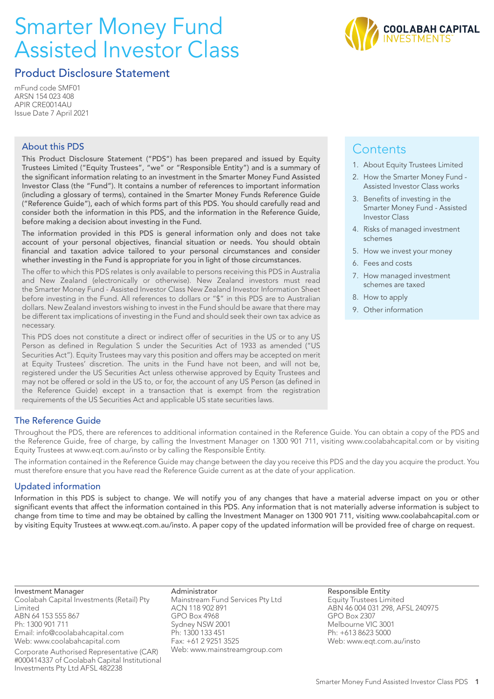# Smarter Money Fund Assisted Investor Class



# Product Disclosure Statement

mFund code SMF01 ARSN 154 023 408 APIR CRE0014AU Issue Date 7 April 2021

# About this PDS

This Product Disclosure Statement ("PDS") has been prepared and issued by Equity Trustees Limited ("Equity Trustees", "we" or "Responsible Entity") and is a summary of the significant information relating to an investment in the Smarter Money Fund Assisted Investor Class (the "Fund"). It contains a number of references to important information (including a glossary of terms), contained in the Smarter Money Funds Reference Guide ("Reference Guide"), each of which forms part of this PDS. You should carefully read and consider both the information in this PDS, and the information in the Reference Guide, before making a decision about investing in the Fund.

The information provided in this PDS is general information only and does not take account of your personal objectives, financial situation or needs. You should obtain financial and taxation advice tailored to your personal circumstances and consider whether investing in the Fund is appropriate for you in light of those circumstances.

The offer to which this PDS relates is only available to persons receiving this PDS in Australia and New Zealand (electronically or otherwise). New Zealand investors must read the Smarter Money Fund - Assisted Investor Class New Zealand Investor Information Sheet before investing in the Fund. All references to dollars or "\$" in this PDS are to Australian dollars. New Zealand investors wishing to invest in the Fund should be aware that there may be different tax implications of investing in the Fund and should seek their own tax advice as necessary.

This PDS does not constitute a direct or indirect offer of securities in the US or to any US Person as defined in Regulation S under the Securities Act of 1933 as amended ("US Securities Act"). Equity Trustees may vary this position and offers may be accepted on merit at Equity Trustees' discretion. The units in the Fund have not been, and will not be, registered under the US Securities Act unless otherwise approved by Equity Trustees and may not be offered or sold in the US to, or for, the account of any US Person (as defined in the Reference Guide) except in a transaction that is exempt from the registration requirements of the US Securities Act and applicable US state securities laws.

# **Contents**

- 1. About Equity Trustees Limited
- 2. How the Smarter Money Fund Assisted Investor Class works
- 3. Benefits of investing in the Smarter Money Fund - Assisted Investor Class
- 4. Risks of managed investment schemes
- 5. How we invest your money
- 6. Fees and costs
- 7. How managed investment schemes are taxed
- 8. How to apply
- 9. Other information

# The Reference Guide

Throughout the PDS, there are references to additional information contained in the Reference Guide. You can obtain a copy of the PDS and the Reference Guide, free of charge, by calling the Investment Manager on 1300 901 711, visiting www.coolabahcapital.com or by visiting Equity Trustees at www.eqt.com.au/insto or by calling the Responsible Entity.

The information contained in the Reference Guide may change between the day you receive this PDS and the day you acquire the product. You must therefore ensure that you have read the Reference Guide current as at the date of your application.

# Updated information

Information in this PDS is subject to change. We will notify you of any changes that have a material adverse impact on you or other significant events that affect the information contained in this PDS. Any information that is not materially adverse information is subject to change from time to time and may be obtained by calling the Investment Manager on 1300 901 711, visiting www.coolabahcapital.com or by visiting Equity Trustees at www.eqt.com.au/insto. A paper copy of the updated information will be provided free of charge on request.

Investment Manager Coolabah Capital Investments (Retail) Pty Limited ABN 64 153 555 867 Ph: 1300 901 711 Email: info@coolabahcapital.com Web: www.coolabahcapital.com

Corporate Authorised Representative (CAR) #000414337 of Coolabah Capital Institutional Investments Pty Ltd AFSL 482238

Administrator Mainstream Fund Services Pty Ltd ACN 118 902 891 GPO Box 4968 Sydney NSW 2001 Ph: 1300 133 451 Fax: +61 2 9251 3525 Web: www.mainstreamgroup.com Responsible Entity Equity Trustees Limited ABN 46 004 031 298, AFSL 240975 GPO Box 2307 Melbourne VIC 3001 Ph: +613 8623 5000 Web: www.eqt.com.au/insto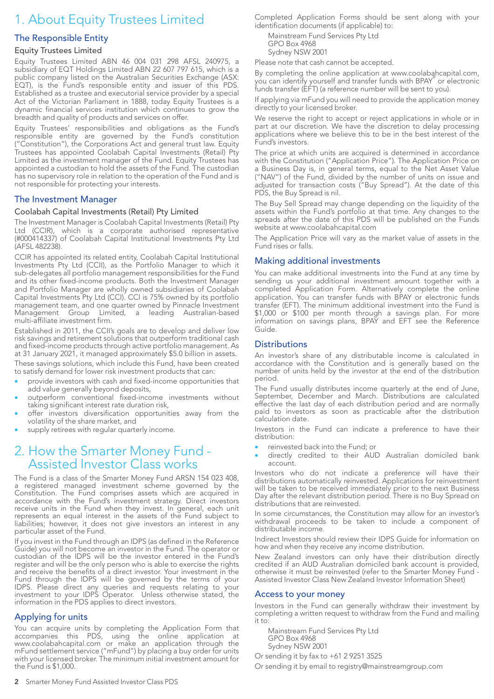# 1. About Equity Trustees Limited

### The Responsible Entity

#### Equity Trustees Limited

Equity Trustees Limited ABN 46 004 031 298 AFSL 240975, a subsidiary of EQT Holdings Limited ABN 22 607 797 615, which is a public company listed on the Australian Securities Exchange (ASX: EQT), is the Fund's responsible entity and issuer of this PDS. Established as a trustee and executorial service provider by a special Act of the Victorian Parliament in 1888, today Equity Trustees is a dynamic financial services institution which continues to grow the breadth and quality of products and services on offer.

Equity Trustees' responsibilities and obligations as the Fund's responsible entity are governed by the Fund's constitution ("Constitution"), the Corporations Act and general trust law. Equity Trustees has appointed Coolabah Capital Investments (Retail) Pty Limited as the investment manager of the Fund. Equity Trustees has appointed a custodian to hold the assets of the Fund. The custodian has no supervisory role in relation to the operation of the Fund and is not responsible for protecting your interests.

#### The Investment Manager

#### Coolabah Capital Investments (Retail) Pty Limited

The Investment Manager is Coolabah Capital Investments (Retail) Pty Ltd (CCIR), which is a corporate authorised representative (#000414337) of Coolabah Capital Institutional Investments Pty Ltd (AFSL 482238).

CCIR has appointed its related entity, Coolabah Capital Institutional Investments Pty Ltd (CCII), as the Portfolio Manager to which it sub-delegates all portfolio management responsibilities for the Fund and its other fixed-income products. Both the Investment Manager and Portfolio Manager are wholly owned subsidiaries of Coolabah Capital Investments Pty Ltd (CCI). CCI is 75% owned by its portfolio management team, and one quarter owned by Pinnacle Investment Management Group Limited, a leading Australian-based multi-affiliate investment firm.

Established in 2011, the CCII's goals are to develop and deliver low risk savings and retirement solutions that outperform traditional cash and fixed-income products through active portfolio management. As at 31 January 2021, it managed approximately \$5.0 billion in assets.

These savings solutions, which include this Fund, have been created to satisfy demand for lower risk investment products that can:

- provide investors with cash and fixed-income opportunities that add value generally beyond deposits,
- outperform conventional fixed-income investments without taking significant interest rate duration risk,
- offer investors diversification opportunities away from the volatility of the share market, and
- supply retirees with regular quarterly income.

# 2. How the Smarter Money Fund - Assisted Investor Class works

The Fund is a class of the Smarter Money Fund ARSN 154 023 408, a registered managed investment scheme governed by the Constitution. The Fund comprises assets which are acquired in accordance with the Fund's investment strategy. Direct investors receive units in the Fund when they invest. In general, each unit represents an equal interest in the assets of the Fund subject to liabilities; however, it does not give investors an interest in any particular asset of the Fund.

If you invest in the Fund through an IDPS (as defined in the Reference Guide) you will not become an investor in the Fund. The operator or custodian of the IDPS will be the investor entered in the Fund's register and will be the only person who is able to exercise the rights and receive the benefits of a direct investor. Your investment in the Fund through the IDPS will be governed by the terms of your IDPS. Please direct any queries and requests relating to your investment to your IDPS Operator. Unless otherwise stated, the information in the PDS applies to direct investors.

### Applying for units

You can acquire units by completing the Application Form that accompanies this PDS, using the online application at www.coolabahcapital.com or make an application through the mFund settlement service ("mFund") by placing a buy order for units with your licensed broker. The minimum initial investment amount for the Fund is \$1,000.

Completed Application Forms should be sent along with your identification documents (if applicable) to:

Mainstream Fund Services Pty Ltd GPO Box 4968 Sydney NSW 2001

Please note that cash cannot be accepted.

By completing the online application at www.coolabahcapital.com, you can identify yourself and transfer funds with BPAY® or electronic funds transfer (EFT) (a reference number will be sent to you).

If applying via mFund you will need to provide the application money directly to your licensed broker.

We reserve the right to accept or reject applications in whole or in part at our discretion. We have the discretion to delay processing applications where we believe this to be in the best interest of the Fund's investors.

The price at which units are acquired is determined in accordance with the Constitution ("Application Price"). The Application Price on a Business Day is, in general terms, equal to the Net Asset Value ("NAV") of the Fund, divided by the number of units on issue and adjusted for transaction costs ("Buy Spread"). At the date of this PDS, the Buy Spread is nil.

The Buy Sell Spread may change depending on the liquidity of the assets within the Fund's portfolio at that time. Any changes to the spreads after the date of this PDS will be published on the Funds website at www.coolabahcapital.com

The Application Price will vary as the market value of assets in the Fund rises or falls.

#### Making additional investments

You can make additional investments into the Fund at any time by sending us your additional investment amount together with a completed Application Form. Alternatively complete the online application. You can transfer funds with BPAY or electronic funds transfer (EFT). The minimum additional investment into the Fund is \$1,000 or \$100 per month through a savings plan. For more information on savings plans, BPAY and EFT see the Reference Guide.

## **Distributions**

An investor's share of any distributable income is calculated in accordance with the Constitution and is generally based on the number of units held by the investor at the end of the distribution period.

The Fund usually distributes income quarterly at the end of June, September, December and March. Distributions are calculated effective the last day of each distribution period and are normally paid to investors as soon as practicable after the distribution calculation date.

Investors in the Fund can indicate a preference to have their distribution:

- reinvested back into the Fund; or
- directly credited to their AUD Australian domiciled bank account.

Investors who do not indicate a preference will have their distributions automatically reinvested. Applications for reinvestment will be taken to be received immediately prior to the next Business Day after the relevant distribution period. There is no Buy Spread on distributions that are reinvested.

In some circumstances, the Constitution may allow for an investor's withdrawal proceeds to be taken to include a component of distributable income.

Indirect Investors should review their IDPS Guide for information on how and when they receive any income distribution.

New Zealand investors can only have their distribution directly credited if an AUD Australian domiciled bank account is provided, otherwise it must be reinvested (refer to the Smarter Money Fund - Assisted Investor Class New Zealand Investor Information Sheet)

#### Access to your money

Investors in the Fund can generally withdraw their investment by completing a written request to withdraw from the Fund and mailing it to:

Mainstream Fund Services Pty Ltd GPO Box 4968 Sydney NSW 2001

Or sending it by fax to +61 2 9251 3525

Or sending it by email to registry@mainstreamgroup.com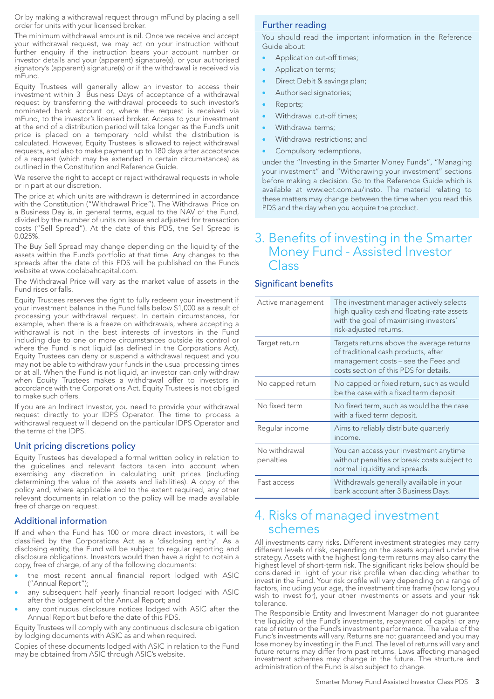Or by making a withdrawal request through mFund by placing a sell order for units with your licensed broker.

The minimum withdrawal amount is nil. Once we receive and accept your withdrawal request, we may act on your instruction without further enquiry if the instruction bears your account number or investor details and your (apparent) signature(s), or your authorised signatory's (apparent) signature(s) or if the withdrawal is received via mFund.

Equity Trustees will generally allow an investor to access their investment within 3 Business Days of acceptance of a withdrawal request by transferring the withdrawal proceeds to such investor's nominated bank account or, where the request is received via mFund, to the investor's licensed broker. Access to your investment at the end of a distribution period will take longer as the Fund's unit price is placed on a temporary hold whilst the distribution is calculated. However, Equity Trustees is allowed to reject withdrawal requests, and also to make payment up to 180 days after acceptance of a request (which may be extended in certain circumstances) as outlined in the Constitution and Reference Guide.

We reserve the right to accept or reject withdrawal requests in whole or in part at our discretion.

The price at which units are withdrawn is determined in accordance with the Constitution ("Withdrawal Price"). The Withdrawal Price on a Business Day is, in general terms, equal to the NAV of the Fund, divided by the number of units on issue and adjusted for transaction costs ("Sell Spread"). At the date of this PDS, the Sell Spread is 0.025%.

The Buy Sell Spread may change depending on the liquidity of the assets within the Fund's portfolio at that time. Any changes to the spreads after the date of this PDS will be published on the Funds website at www.coolabahcapital.com.

The Withdrawal Price will vary as the market value of assets in the Fund rises or falls.

Equity Trustees reserves the right to fully redeem your investment if your investment balance in the Fund falls below \$1,000 as a result of processing your withdrawal request. In certain circumstances, for example, when there is a freeze on withdrawals, where accepting a withdrawal is not in the best interests of investors in the Fund including due to one or more circumstances outside its control or where the Fund is not liquid (as defined in the Corporations Act), Equity Trustees can deny or suspend a withdrawal request and you may not be able to withdraw your funds in the usual processing times or at all. When the Fund is not liquid, an investor can only withdraw when Equity Trustees makes a withdrawal offer to investors in accordance with the Corporations Act. Equity Trustees is not obliged to make such offers.

If you are an Indirect Investor, you need to provide your withdrawal request directly to your IDPS Operator. The time to process a withdrawal request will depend on the particular IDPS Operator and the terms of the IDPS.

#### Unit pricing discretions policy

Equity Trustees has developed a formal written policy in relation to the guidelines and relevant factors taken into account when exercising any discretion in calculating unit prices (including determining the value of the assets and liabilities). A copy of the policy and, where applicable and to the extent required, any other relevant documents in relation to the policy will be made available free of charge on request.

#### Additional information

If and when the Fund has 100 or more direct investors, it will be classified by the Corporations Act as a 'disclosing entity'. As a disclosing entity, the Fund will be subject to regular reporting and disclosure obligations. Investors would then have a right to obtain a copy, free of charge, of any of the following documents:

- the most recent annual financial report lodged with ASIC ("Annual Report");
- any subsequent half yearly financial report lodged with ASIC after the lodgement of the Annual Report; and
- any continuous disclosure notices lodged with ASIC after the Annual Report but before the date of this PDS.

Equity Trustees will comply with any continuous disclosure obligation by lodging documents with ASIC as and when required.

Copies of these documents lodged with ASIC in relation to the Fund may be obtained from ASIC through ASIC's website.

### Further reading

You should read the important information in the Reference Guide about:

- Application cut-off times;
- Application terms;
- Direct Debit & savings plan;
- Authorised signatories;
- Reports;
- Withdrawal cut-off times;
- Withdrawal terms;
- Withdrawal restrictions; and
- Compulsory redemptions,

under the "Investing in the Smarter Money Funds", "Managing your investment" and "Withdrawing your investment" sections before making a decision. Go to the Reference Guide which is available at www.eqt.com.au/insto. The material relating to these matters may change between the time when you read this PDS and the day when you acquire the product.

# 3. Benefits of investing in the Smarter Money Fund - Assisted Investor Class

## Significant benefits

| Active management          | The investment manager actively selects<br>high quality cash and floating-rate assets<br>with the goal of maximising investors'<br>risk-adjusted returns.         |  |
|----------------------------|-------------------------------------------------------------------------------------------------------------------------------------------------------------------|--|
| Target return              | Targets returns above the average returns<br>of traditional cash products, after<br>management costs - see the Fees and<br>costs section of this PDS for details. |  |
| No capped return           | No capped or fixed return, such as would<br>be the case with a fixed term deposit.                                                                                |  |
| No fixed term              | No fixed term, such as would be the case<br>with a fixed term deposit.                                                                                            |  |
| Regular income             | Aims to reliably distribute quarterly<br>income.                                                                                                                  |  |
| No withdrawal<br>penalties | You can access your investment anytime<br>without penalties or break costs subject to<br>normal liquidity and spreads.                                            |  |
| Fast access                | Withdrawals generally available in your<br>bank account after 3 Business Days.                                                                                    |  |

# 4. Risks of managed investment schemes

All investments carry risks. Different investment strategies may carry different levels of risk, depending on the assets acquired under the strategy. Assets with the highest long-term returns may also carry the highest level of short-term risk. The significant risks below should be considered in light of your risk profile when deciding whether to invest in the Fund. Your risk profile will vary depending on a range of factors, including your age, the investment time frame (how long you wish to invest for), your other investments or assets and your risk tolerance.

The Responsible Entity and Investment Manager do not guarantee the liquidity of the Fund's investments, repayment of capital or any rate of return or the Fund's investment performance. The value of the Fund's investments will vary. Returns are not guaranteed and you may lose money by investing in the Fund. The level of returns will vary and future returns may differ from past returns. Laws affecting managed investment schemes may change in the future. The structure and administration of the Fund is also subject to change.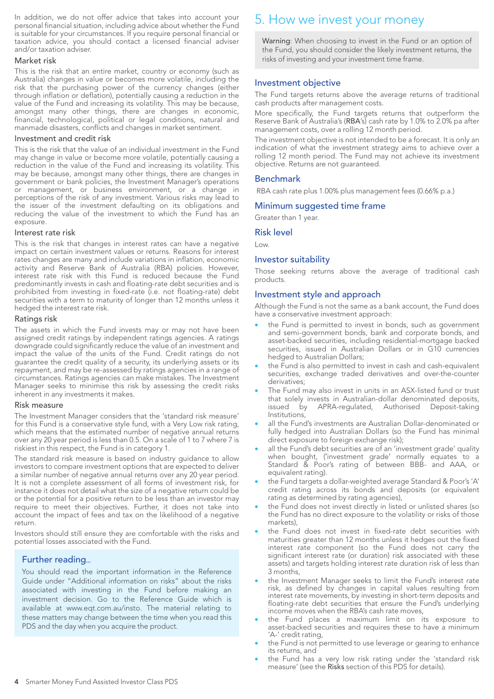In addition, we do not offer advice that takes into account your personal financial situation, including advice about whether the Fund is suitable for your circumstances. If you require personal financial or taxation advice, you should contact a licensed financial adviser and/or taxation adviser.

#### Market risk

This is the risk that an entire market, country or economy (such as Australia) changes in value or becomes more volatile, including the risk that the purchasing power of the currency changes (either through inflation or deflation), potentially causing a reduction in the value of the Fund and increasing its volatility. This may be because, amongst many other things, there are changes in economic, financial, technological, political or legal conditions, natural and manmade disasters, conflicts and changes in market sentiment.

#### Investment and credit risk

This is the risk that the value of an individual investment in the Fund may change in value or become more volatile, potentially causing a reduction in the value of the Fund and increasing its volatility. This may be because, amongst many other things, there are changes in government or bank policies, the Investment Manager's operations or management, or business environment, or a change in perceptions of the risk of any investment. Various risks may lead to the issuer of the investment defaulting on its obligations and reducing the value of the investment to which the Fund has an exposure.

#### Interest rate risk

This is the risk that changes in interest rates can have a negative impact on certain investment values or returns. Reasons for interest rates changes are many and include variations in inflation, economic activity and Reserve Bank of Australia (RBA) policies. However, interest rate risk with this Fund is reduced because the Fund predominantly invests in cash and floating-rate debt securities and is prohibited from investing in fixed-rate (i.e. not floating-rate) debt securities with a term to maturity of longer than 12 months unless it hedged the interest rate risk.

#### Ratings risk

The assets in which the Fund invests may or may not have been assigned credit ratings by independent ratings agencies. A ratings downgrade could significantly reduce the value of an investment and impact the value of the units of the Fund. Credit ratings do not guarantee the credit quality of a security, its underlying assets or its repayment, and may be re-assessed by ratings agencies in a range of circumstances. Ratings agencies can make mistakes. The Investment Manager seeks to minimise this risk by assessing the credit risks inherent in any investments it makes.

#### Risk measure

The Investment Manager considers that the 'standard risk measure' for this Fund is a conservative style fund, with a Very Low risk rating, which means that the estimated number of negative annual returns over any 20 year period is less than 0.5. On a scale of 1 to 7 where 7 is riskiest in this respect, the Fund is in category 1.

The standard risk measure is based on industry guidance to allow investors to compare investment options that are expected to deliver a similar number of negative annual returns over any 20 year period. It is not a complete assessment of all forms of investment risk, for instance it does not detail what the size of a negative return could be or the potential for a positive return to be less than an investor may require to meet their objectives. Further, it does not take into account the impact of fees and tax on the likelihood of a negative return.

Investors should still ensure they are comfortable with the risks and potential losses associated with the Fund.

# Further reading...

You should read the important information in the Reference Guide under "Additional information on risks" about the risks associated with investing in the Fund before making an investment decision. Go to the Reference Guide which is available at www.eqt.com.au/insto. The material relating to these matters may change between the time when you read this PDS and the day when you acquire the product.

# 5. How we invest your money

Warning: When choosing to invest in the Fund or an option of the Fund, you should consider the likely investment returns, the risks of investing and your investment time frame.

### Investment objective

The Fund targets returns above the average returns of traditional cash products after management costs.

More specifically, the Fund targets returns that outperform the Reserve Bank of Australia's (RBA's) cash rate by 1.0% to 2.0% pa after management costs, over a rolling 12 month period.

The investment objective is not intended to be a forecast. It is only an indication of what the investment strategy aims to achieve over a rolling 12 month period. The Fund may not achieve its investment objective. Returns are not guaranteed.

#### Benchmark

RBA cash rate plus 1.00% plus management fees (0.66% p.a.)

#### Minimum suggested time frame

Greater than 1 year.

#### Risk level

Low.

#### Investor suitability

Those seeking returns above the average of traditional cash products.

#### Investment style and approach

Although the Fund is not the same as a bank account, the Fund does have a conservative investment approach:

- the Fund is permitted to invest in bonds, such as government and semi-government bonds, bank and corporate bonds, and asset-backed securities, including residential-mortgage backed securities, issued in Australian Dollars or in G10 currencies hedged to Australian Dollars;
- the Fund is also permitted to invest in cash and cash-equivalent securities, exchange traded derivatives and over-the-counter derivatives;
- The Fund may also invest in units in an ASX-listed fund or trust that solely invests in Australian-dollar denominated deposits, issued by APRA-regulated, Authorised Deposit-taking Institutions,
- all the Fund's investments are Australian Dollar-denominated or fully hedged into Australian Dollars (so the Fund has minimal direct exposure to foreign exchange risk);
- all the Fund's debt securities are of an 'investment grade' quality when bought, ('investment grade' normally equates to a Standard & Poor's rating of between BBB- and AAA, or equivalent rating).
- the Fund targets a dollar-weighted average Standard & Poor's 'A' credit rating across its bonds and deposits (or equivalent rating as determined by rating agencies),
- the Fund does not invest directly in listed or unlisted shares (so the Fund has no direct exposure to the volatility or risks of those markets),
- the Fund does not invest in fixed-rate debt securities with maturities greater than 12 months unless it hedges out the fixed interest rate component (so the Fund does not carry the significant interest rate (or duration) risk associated with these assets) and targets holding interest rate duration risk of less than 3 months,
- the Investment Manager seeks to limit the Fund's interest rate risk, as defined by changes in capital values resulting from interest rate movements, by investing in short-term deposits and floating-rate debt securities that ensure the Fund's underlying income moves when the RBA's cash rate moves,
- the Fund places a maximum limit on its exposure to asset-backed securities and requires these to have a minimum 'A-' credit rating,
- the Fund is not permitted to use leverage or gearing to enhance its returns, and
- the Fund has a very low risk rating under the 'standard risk measure' (see the Risks section of this PDS for details).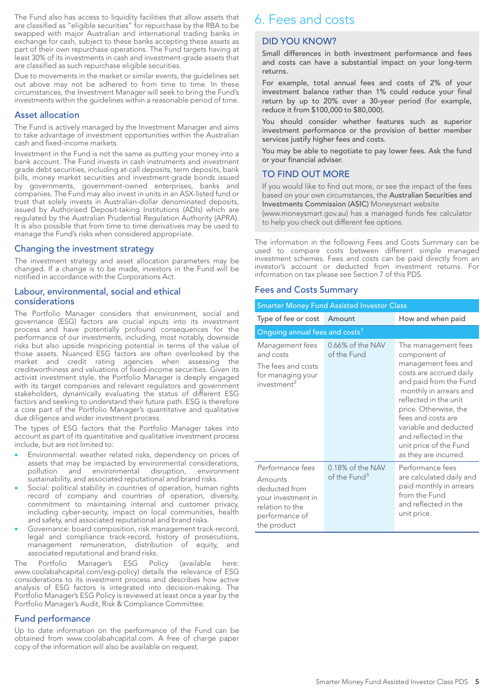The Fund also has access to liquidity facilities that allow assets that are classified as "eligible securities" for repurchase by the RBA to be swapped with major Australian and international trading banks in exchange for cash, subject to these banks accepting these assets as part of their own repurchase operations. The Fund targets having at least 30% of its investments in cash and investment-grade assets that are classified as such repurchase eligible securities.

Due to movements in the market or similar events, the guidelines set out above may not be adhered to from time to time. In these circumstances, the Investment Manager will seek to bring the Fund's investments within the guidelines within a reasonable period of time.

#### Asset allocation

The Fund is actively managed by the Investment Manager and aims to take advantage of investment opportunities within the Australian cash and fixed-income markets.

Investment in the Fund is not the same as putting your money into a bank account. The Fund invests in cash instruments and investment grade debt securities, including at-call deposits, term deposits, bank bills, money market securities and investment-grade bonds issued by governments, government-owned enterprises, banks and companies. The Fund may also invest in units in an ASX-listed fund or trust that solely invests in Australian-dollar denominated deposits, issued by Authorised Deposit-taking Institutions (ADIs) which are regulated by the Australian Prudential Regulation Authority (APRA). It is also possible that from time to time derivatives may be used to manage the Fund's risks when considered appropriate.

#### Changing the investment strategy

The investment strategy and asset allocation parameters may be changed. If a change is to be made, investors in the Fund will be notified in accordance with the Corporations Act.

#### Labour, environmental, social and ethical considerations

The Portfolio Manager considers that environment, social and governance (ESG) factors are crucial inputs into its investment process and have potentially profound consequences for the performance of our investments, including, most notably, downside risks but also upside mispricing potential in terms of the value of those assets. Nuanced ESG factors are often overlooked by the market and credit rating agencies when assessing the creditworthiness and valuations of fixed-income securities. Given its activist investment style, the Portfolio Manager is deeply engaged with its target companies and relevant regulators and government stakeholders, dynamically evaluating the status of different ESG factors and seeking to understand their future path. ESG is therefore a core part of the Portfolio Manager's quantitative and qualitative due diligence and wider investment process.

The types of ESG factors that the Portfolio Manager takes into account as part of its quantitative and qualitative investment process include, but are not limited to:

- Environmental: weather related risks, dependency on prices of assets that may be impacted by environmental considerations,<br>pollution and environmental disruption, environment pollution and environmental disruption, environment sustainability, and associated reputational and brand risks.
- Social: political stability in countries of operation, human rights record of company and countries of operation, diversity, commitment to maintaining internal and customer privacy, including cyber-security, impact on local communities, health and safety, and associated reputational and brand risks.
- Governance: board composition, risk management track-record, legal and compliance track-record, history of prosecutions, management remuneration, distribution of equity, and associated reputational and brand risks.

The Portfolio Manager's ESG Policy (available here: www.coolabahcapital.com/esg-policy) details the relevance of ESG considerations to its investment process and describes how active analysis of ESG factors is integrated into decision-making. The Portfolio Manager's ESG Policy is reviewed at least once a year by the Portfolio Manager's Audit, Risk & Compliance Committee.

### Fund performance

Up to date information on the performance of the Fund can be obtained from www.coolabahcapital.com. A free of charge paper copy of the information will also be available on request.

# 6. Fees and costs

# DID YOU KNOW?

Small differences in both investment performance and fees and costs can have a substantial impact on your long-term returns.

For example, total annual fees and costs of 2% of your investment balance rather than 1% could reduce your final return by up to 20% over a 30-year period (for example, reduce it from \$100,000 to \$80,000).

You should consider whether features such as superior investment performance or the provision of better member services justify higher fees and costs.

You may be able to negotiate to pay lower fees. Ask the fund or your financial adviser.

### TO FIND OUT MORE

If you would like to find out more, or see the impact of the fees based on your own circumstances, the Australian Securities and Investments Commission (ASIC) Moneysmart website

(www.moneysmart.gov.au) has a managed funds fee calculator to help you check out different fee options.

The information in the following Fees and Costs Summary can be used to compare costs between different simple managed investment schemes. Fees and costs can be paid directly from an investor's account or deducted from investment returns. For information on tax please see Section 7 of this PDS.

#### Fees and Costs Summary

#### Smarter Money Fund Assisted Investor Class

| Type of fee or cost                                                                                                    | Amount                                       | How and when paid                                                                                                                                                                                                                                                                                                     |  |  |
|------------------------------------------------------------------------------------------------------------------------|----------------------------------------------|-----------------------------------------------------------------------------------------------------------------------------------------------------------------------------------------------------------------------------------------------------------------------------------------------------------------------|--|--|
| Ongoing annual fees and costs <sup>1</sup>                                                                             |                                              |                                                                                                                                                                                                                                                                                                                       |  |  |
| Management fees<br>and costs<br>The fees and costs<br>for managing your<br>investment <sup>2</sup>                     | 0.66% of the NAV<br>of the Fund              | The management fees<br>component of<br>management fees and<br>costs are accrued daily<br>and paid from the Fund<br>monthly in arrears and<br>reflected in the unit<br>price. Otherwise, the<br>fees and costs are<br>variable and deducted<br>and reflected in the<br>unit price of the Fund<br>as they are incurred. |  |  |
| Performance fees<br>Amounts<br>deducted from<br>your investment in<br>relation to the<br>performance of<br>the product | 0.18% of the NAV<br>of the Fund <sup>3</sup> | Performance fees<br>are calculated daily and<br>paid monthly in arrears<br>from the Fund<br>and reflected in the<br>unit price.                                                                                                                                                                                       |  |  |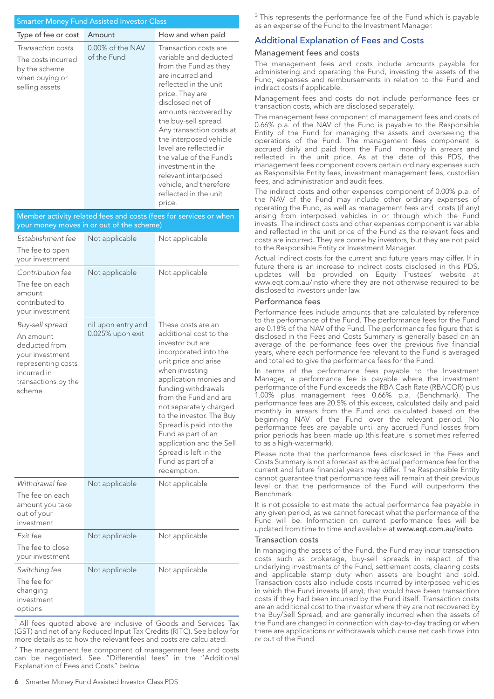#### Smarter Money Fund Assisted Investor Class

| Type of fee or cost                                                                          | Amount                             | How and when paid                                                                                                                                                                                                                                                                                                                                                                                                     |
|----------------------------------------------------------------------------------------------|------------------------------------|-----------------------------------------------------------------------------------------------------------------------------------------------------------------------------------------------------------------------------------------------------------------------------------------------------------------------------------------------------------------------------------------------------------------------|
| Transaction costs<br>The costs incurred<br>by the scheme<br>when buying or<br>selling assets | $0.00\%$ of the NAV<br>of the Fund | Transaction costs are<br>variable and deducted<br>from the Fund as they<br>are incurred and<br>reflected in the unit<br>price. They are<br>disclosed net of<br>amounts recovered by<br>the buy-sell spread.<br>Any transaction costs at<br>the interposed vehicle<br>level are reflected in<br>the value of the Fund's<br>investment in the<br>relevant interposed<br>vehicle, and therefore<br>reflected in the unit |

price. Member activity related fees and costs (fees for services or when your money moves in or out of the scheme) *Establishment fee* The fee to open your investment Not applicable Not applicable *Contribution fee* The fee on each amount contributed to your investment Not applicable Not applicable *Buy-sell spread* An amount deducted from your investment representing costs incurred in transactions by the scheme nil upon entry and 0.025% upon exit These costs are an additional cost to the investor but are incorporated into the unit price and arise when investing application monies and funding withdrawals from the Fund and are not separately charged to the investor. The Buy Spread is paid into the Fund as part of an application and the Sell Spread is left in the Fund as part of a redemption. *Withdrawal fee* The fee on each amount you take out of your investment Not applicable Not applicable *Exit fee* The fee to close your investment Not applicable Not applicable *Switching fee* Not applicable Not applicable

The fee for changing investment options

<sup>1</sup> All fees quoted above are inclusive of Goods and Services Tax (GST) and net of any Reduced Input Tax Credits (RITC). See below for more details as to how the relevant fees and costs are calculated.

 $2$  The management fee component of management fees and costs can be negotiated. See "Differential fees" in the "Additional Explanation of Fees and Costs" below.

<sup>3</sup> This represents the performance fee of the Fund which is payable as an expense of the Fund to the Investment Manager.

### Additional Explanation of Fees and Costs

#### Management fees and costs

The management fees and costs include amounts payable for administering and operating the Fund, investing the assets of the Fund, expenses and reimbursements in relation to the Fund and indirect costs if applicable.

Management fees and costs do not include performance fees or transaction costs, which are disclosed separately.

The management fees component of management fees and costs of 0.66% p.a. of the NAV of the Fund is payable to the Responsible Entity of the Fund for managing the assets and overseeing the operations of the Fund. The management fees component is accrued daily and paid from the Fund monthly in arrears and reflected in the unit price. As at the date of this PDS, the management fees component covers certain ordinary expenses such as Responsible Entity fees, investment management fees, custodian fees, and administration and audit fees.

The indirect costs and other expenses component of 0.00% p.a. of the NAV of the Fund may include other ordinary expenses of operating the Fund, as well as management fees and costs (if any) arising from interposed vehicles in or through which the Fund invests. The indirect costs and other expenses component is variable and reflected in the unit price of the Fund as the relevant fees and costs are incurred. They are borne by investors, but they are not paid to the Responsible Entity or Investment Manager.

Actual indirect costs for the current and future years may differ. If in future there is an increase to indirect costs disclosed in this PDS, updates will be provided on Equity Trustees' website at www.eqt.com.au/insto where they are not otherwise required to be disclosed to investors under law.

#### Performance fees

Performance fees include amounts that are calculated by reference to the performance of the Fund. The performance fees for the Fund are 0.18% of the NAV of the Fund. The performance fee figure that is disclosed in the Fees and Costs Summary is generally based on an average of the performance fees over the previous five financial years, where each performance fee relevant to the Fund is averaged and totalled to give the performance fees for the Fund.

In terms of the performance fees payable to the Investment Manager, a performance fee is payable where the investment performance of the Fund exceeds the RBA Cash Rate (RBACOR) plus 1.00% plus management fees 0.66% p.a. (Benchmark). The performance fees are 20.5% of this excess, calculated daily and paid monthly in arrears from the Fund and calculated based on the beginning NAV of the Fund over the relevant period. No performance fees are payable until any accrued Fund losses from prior periods has been made up (this feature is sometimes referred to as a high-watermark).

Please note that the performance fees disclosed in the Fees and Costs Summary is not a forecast as the actual performance fee for the current and future financial years may differ. The Responsible Entity cannot guarantee that performance fees will remain at their previous level or that the performance of the Fund will outperform the Benchmark.

It is not possible to estimate the actual performance fee payable in any given period, as we cannot forecast what the performance of the Fund will be. Information on current performance fees will be updated from time to time and available at www.eqt.com.au/insto.

#### Transaction costs

In managing the assets of the Fund, the Fund may incur transaction costs such as brokerage, buy-sell spreads in respect of the underlying investments of the Fund, settlement costs, clearing costs and applicable stamp duty when assets are bought and sold. Transaction costs also include costs incurred by interposed vehicles in which the Fund invests (if any), that would have been transaction costs if they had been incurred by the Fund itself. Transaction costs are an additional cost to the investor where they are not recovered by the Buy/Sell Spread, and are generally incurred when the assets of the Fund are changed in connection with day-to-day trading or when there are applications or withdrawals which cause net cash flows into or out of the Fund.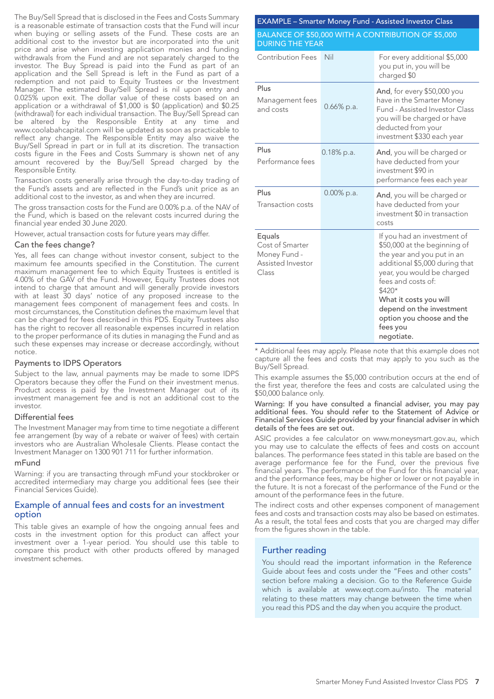The Buy/Sell Spread that is disclosed in the Fees and Costs Summary is a reasonable estimate of transaction costs that the Fund will incur when buying or selling assets of the Fund. These costs are an additional cost to the investor but are incorporated into the unit price and arise when investing application monies and funding withdrawals from the Fund and are not separately charged to the investor. The Buy Spread is paid into the Fund as part of an application and the Sell Spread is left in the Fund as part of a redemption and not paid to Equity Trustees or the Investment Manager. The estimated Buy/Sell Spread is nil upon entry and 0.025% upon exit. The dollar value of these costs based on an application or a withdrawal of \$1,000 is \$0 (application) and \$0.25 (withdrawal) for each individual transaction. The Buy/Sell Spread can be altered by the Responsible Entity at any time and www.coolabahcapital.com will be updated as soon as practicable to reflect any change. The Responsible Entity may also waive the Buy/Sell Spread in part or in full at its discretion. The transaction costs figure in the Fees and Costs Summary is shown net of any amount recovered by the Buy/Sell Spread charged by the Responsible Entity.

Transaction costs generally arise through the day-to-day trading of the Fund's assets and are reflected in the Fund's unit price as an additional cost to the investor, as and when they are incurred.

The gross transaction costs for the Fund are 0.00% p.a. of the NAV of the Fund, which is based on the relevant costs incurred during the financial year ended 30 June 2020.

However, actual transaction costs for future years may differ.

#### Can the fees change?

Yes, all fees can change without investor consent, subject to the maximum fee amounts specified in the Constitution. The current maximum management fee to which Equity Trustees is entitled is 4.00% of the GAV of the Fund. However, Equity Trustees does not intend to charge that amount and will generally provide investors with at least 30 days' notice of any proposed increase to the management fees component of management fees and costs. In most circumstances, the Constitution defines the maximum level that can be charged for fees described in this PDS. Equity Trustees also has the right to recover all reasonable expenses incurred in relation to the proper performance of its duties in managing the Fund and as such these expenses may increase or decrease accordingly, without notice.

#### Payments to IDPS Operators

Subject to the law, annual payments may be made to some IDPS Operators because they offer the Fund on their investment menus. Product access is paid by the Investment Manager out of its investment management fee and is not an additional cost to the investor.

#### Differential fees

The Investment Manager may from time to time negotiate a different fee arrangement (by way of a rebate or waiver of fees) with certain investors who are Australian Wholesale Clients. Please contact the Investment Manager on 1300 901 711 for further information.

#### mFund

Warning: if you are transacting through mFund your stockbroker or accredited intermediary may charge you additional fees (see their Financial Services Guide).

#### Example of annual fees and costs for an investment option

This table gives an example of how the ongoing annual fees and costs in the investment option for this product can affect your investment over a 1-year period. You should use this table to compare this product with other products offered by managed investment schemes.

| EXAMPLE – Smarter Money Fund - Assisted Investor Class                       |               |                                                                                                                                                                                                                                                                                                        |  |  |
|------------------------------------------------------------------------------|---------------|--------------------------------------------------------------------------------------------------------------------------------------------------------------------------------------------------------------------------------------------------------------------------------------------------------|--|--|
| BALANCE OF \$50,000 WITH A CONTRIBUTION OF \$5,000<br><b>DURING THE YEAR</b> |               |                                                                                                                                                                                                                                                                                                        |  |  |
| <b>Contribution Fees</b>                                                     | Nil           | For every additional \$5,000<br>you put in, you will be<br>charged \$0                                                                                                                                                                                                                                 |  |  |
| Plus<br>Management fees<br>and costs                                         | $0.66\%$ p.a. | And, for every \$50,000 you<br>have in the Smarter Money<br>Fund - Assisted Investor Class<br>you will be charged or have<br>deducted from your<br>investment \$330 each year                                                                                                                          |  |  |
| Plus<br>Performance fees                                                     | $0.18\%$ p.a. | And, you will be charged or<br>have deducted from your<br>investment \$90 in<br>performance fees each year                                                                                                                                                                                             |  |  |
| Plus<br>Transaction costs                                                    | $0.00\%$ p.a. | And, you will be charged or<br>have deducted from your<br>investment \$0 in transaction<br>costs                                                                                                                                                                                                       |  |  |
| Equals<br>Cost of Smarter<br>Money Fund -<br>Assisted Investor<br>Class      |               | If you had an investment of<br>\$50,000 at the beginning of<br>the year and you put in an<br>additional \$5,000 during that<br>year, you would be charged<br>fees and costs of:<br>\$420*<br>What it costs you will<br>depend on the investment<br>option you choose and the<br>fees you<br>negotiate. |  |  |

\* Additional fees may apply. Please note that this example does not capture all the fees and costs that may apply to you such as the Buy/Sell Spread.

This example assumes the \$5,000 contribution occurs at the end of the first year, therefore the fees and costs are calculated using the \$50,000 balance only.

Warning: If you have consulted a financial adviser, you may pay additional fees. You should refer to the Statement of Advice or Financial Services Guide provided by your financial adviser in which details of the fees are set out.

ASIC provides a fee calculator on www.moneysmart.gov.au, which you may use to calculate the effects of fees and costs on account balances. The performance fees stated in this table are based on the average performance fee for the Fund, over the previous five financial years. The performance of the Fund for this financial year, and the performance fees, may be higher or lower or not payable in the future. It is not a forecast of the performance of the Fund or the amount of the performance fees in the future.

The indirect costs and other expenses component of management fees and costs and transaction costs may also be based on estimates. As a result, the total fees and costs that you are charged may differ from the figures shown in the table.

#### Further reading

You should read the important information in the Reference Guide about fees and costs under the "Fees and other costs" section before making a decision. Go to the Reference Guide which is available at www.eqt.com.au/insto. The material relating to these matters may change between the time when you read this PDS and the day when you acquire the product.